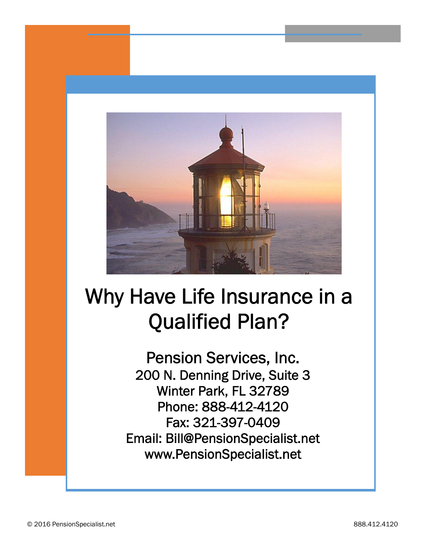

**Pension Services, Inc. 200 N. Denning Drive, Suite 3 Winter Park, FL 32789 Phone: 888-412-4120 Fax: 321-397-0409 Email: Bill@PensionSpecialist.net www.PensionSpecialist.net**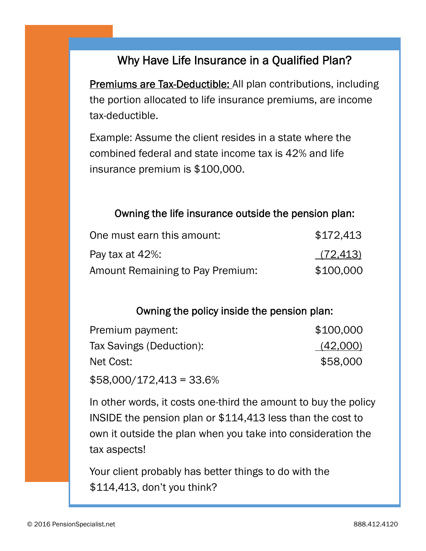**Premiums are Tax-Deductible:** All plan contributions, including the portion allocated to life insurance premiums, are income tax-deductible.

Example: Assume the client resides in a state where the combined federal and state income tax is 42% and life insurance premium is \$100,000.

#### **Owning the life insurance outside the pension plan:**

| One must earn this amount:       | \$172,413 |  |
|----------------------------------|-----------|--|
| Pay tax at 42%:                  | (72, 413) |  |
| Amount Remaining to Pay Premium: | \$100,000 |  |

#### **Owning the policy inside the pension plan:**

| Premium payment:         | \$100,000 |  |
|--------------------------|-----------|--|
| Tax Savings (Deduction): | (42,000)  |  |
| Net Cost:                | \$58,000  |  |
|                          |           |  |

 $$58,000/172,413 = 33.6\%$ 

In other words, it costs one-third the amount to buy the policy INSIDE the pension plan or \$114,413 less than the cost to own it outside the plan when you take into consideration the tax aspects!

Your client probably has better things to do with the \$114,413, don't you think?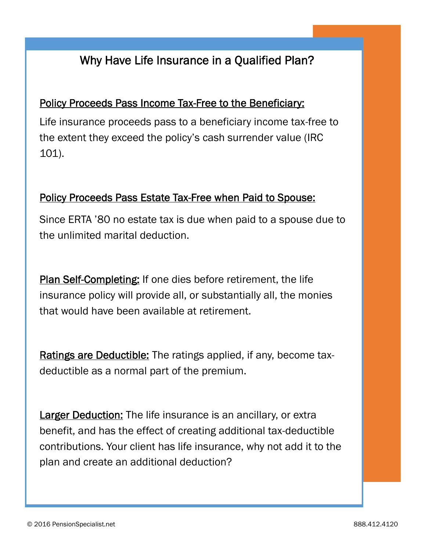#### **Policy Proceeds Pass Income Tax-Free to the Beneficiary:**

Life insurance proceeds pass to a beneficiary income tax-free to the extent they exceed the policy's cash surrender value (IRC 101).

#### **Policy Proceeds Pass Estate Tax-Free when Paid to Spouse:**

Since ERTA '80 no estate tax is due when paid to a spouse due to the unlimited marital deduction.

**Plan Self-Completing:** If one dies before retirement, the life insurance policy will provide all, or substantially all, the monies that would have been available at retirement.

**Ratings are Deductible:** The ratings applied, if any, become tax deductible as a normal part of the premium.

**Larger Deduction:** The life insurance is an ancillary, or extra benefit, and has the effect of creating additional tax-deductible contributions. Your client has life insurance, why not add it to the plan and create an additional deduction?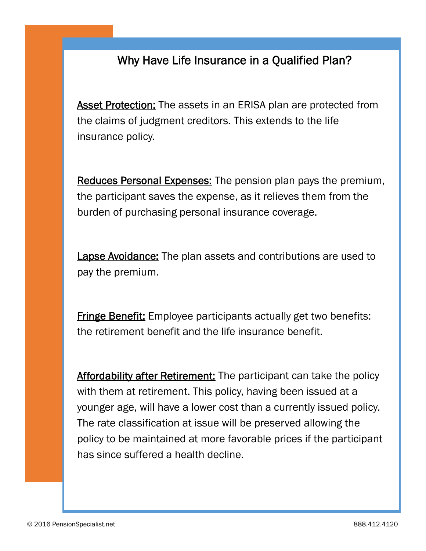**Asset Protection:** The assets in an ERISA plan are protected from the claims of judgment creditors. This extends to the life insurance policy.

**Reduces Personal Expenses:** The pension plan pays the premium, the participant saves the expense, as it relieves them from the burden of purchasing personal insurance coverage.

**Lapse Avoidance:** The plan assets and contributions are used to pay the premium.

**Fringe Benefit:** Employee participants actually get two benefits: the retirement benefit and the life insurance benefit.

**Affordability after Retirement:** The participant can take the policy with them at retirement. This policy, having been issued at a younger age, will have a lower cost than a currently issued policy. The rate classification at issue will be preserved allowing the policy to be maintained at more favorable prices if the participant has since suffered a health decline.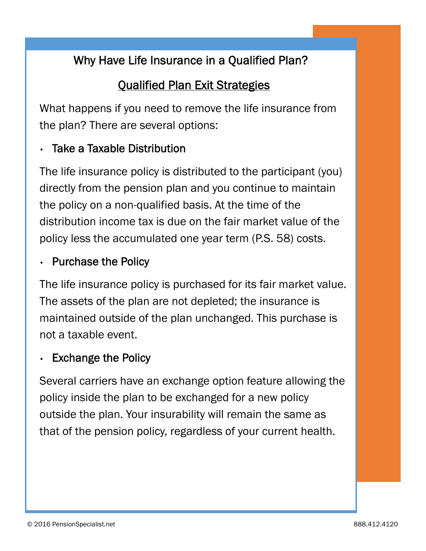# **Qualified Plan Exit Strategies**

What happens if you need to remove the life insurance from the plan? There are several options:

## **Take a Taxable Distribution**

The life insurance policy is distributed to the participant (you) directly from the pension plan and you continue to maintain the policy on a non-qualified basis. At the time of the distribution income tax is due on the fair market value of the policy less the accumulated one year term (P.S. 58) costs.

## **Purchase the Policy**

The life insurance policy is purchased for its fair market value. The assets of the plan are not depleted; the insurance is maintained outside of the plan unchanged. This purchase is not a taxable event.

## **Exchange the Policy**

Several carriers have an exchange option feature allowing the policy inside the plan to be exchanged for a new policy outside the plan. Your insurability will remain the same as that of the pension policy, regardless of your current health.